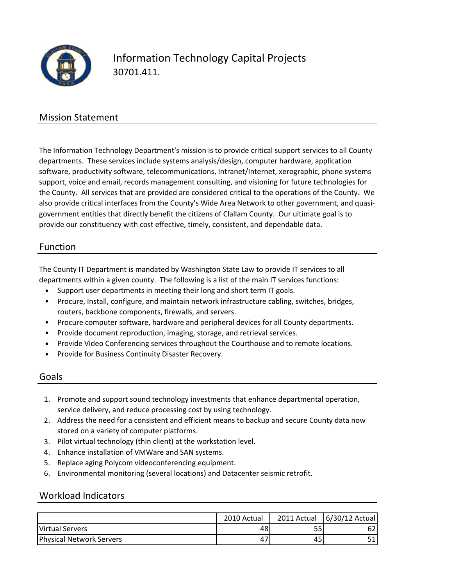

# Information Technology Capital Projects 30701.411.

### Mission Statement

The Information Technology Department's mission is to provide critical support services to all County departments. These services include systems analysis/design, computer hardware, application software, productivity software, telecommunications, Intranet/Internet, xerographic, phone systems support, voice and email, records management consulting, and visioning for future technologies for the County. All services that are provided are considered critical to the operations of the County. We also provide critical interfaces from the County's Wide Area Network to other government, and quasi‐ government entities that directly benefit the citizens of Clallam County. Our ultimate goal is to provide our constituency with cost effective, timely, consistent, and dependable data.

#### Function

The County IT Department is mandated by Washington State Law to provide IT services to all departments within a given county. The following is a list of the main IT services functions:

- Support user departments in meeting their long and short term IT goals.
- Procure, Install, configure, and maintain network infrastructure cabling, switches, bridges, routers, backbone components, firewalls, and servers.
- Procure computer software, hardware and peripheral devices for all County departments.
- Provide document reproduction, imaging, storage, and retrieval services.
- Provide Video Conferencing services throughout the Courthouse and to remote locations.
- Provide for Business Continuity Disaster Recovery.

#### Goals

- 1. Promote and support sound technology investments that enhance departmental operation, service delivery, and reduce processing cost by using technology.
- 2. Address the need for a consistent and efficient means to backup and secure County data now stored on a variety of computer platforms.
- 3. Pilot virtual technology (thin client) at the workstation level.
- 4. Enhance installation of VMWare and SAN systems.
- 5. Replace aging Polycom videoconferencing equipment.
- 6. Environmental monitoring (several locations) and Datacenter seismic retrofit.

#### Workload Indicators

|                                 | 2010 Actual | 2011 Actual | 6/30/12 Actual |
|---------------------------------|-------------|-------------|----------------|
| Virtual Servers                 | 48          | 55'         |                |
| <b>Physical Network Servers</b> | 47          | 45          |                |